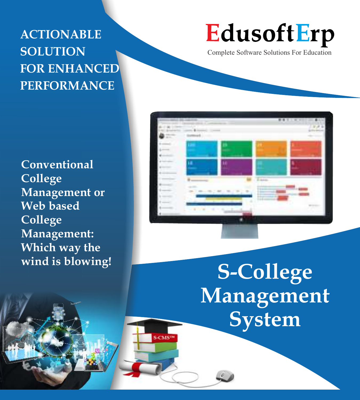## **ACTIONABLE SOLUTION FOR ENHANCED PERFORMANCE**

**Conventional College Management or Web based College Management: Which way the wind is blowing!**

# EdusoftErp

Complete Software Solutions For Education



**S-College Management System**

**S-CMS**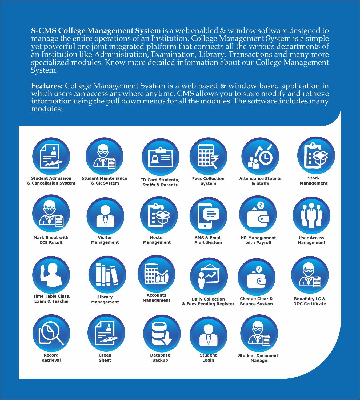**S-CMS College Management System** is a web enabled & window software designed to manage the entire operations of an Institution. College Management System is a simple yet powerful one joint integrated platform that connects all the various departments of an Institution like Administration, Examination, Library, Transactions and many more specialized modules. Know more detailed information about our College Management System.

**Features:** College Management System is a web based & window based application in which users can access anywhere anytime. CMS allows you to store modify and retrieve information using the pull down menus for all the modules. The software includes many modules:



**Student Admission & Cancellation System**



**Mark Sheet with CCE Result**



**Time Table Class, Exam & Teacher**



**Record Retrieval**



**Student Maintenance & GR System**



**Visitor Management**



**Library Management**



**Green Sheet**



**ID Card Students, Staffs & Parents**



**Hostel Management**



**Accounts**



**Database Backup**



**Fees Collection System**





**Management Daily Collection & Fees Pending Register**



**Student Login**



**Attendance Stuents & Staffs**



**HR Management with Payroll**



**Cheque Clear & Bounce System**



**Student Document Manage** 



**Stock Management**



**User Access Management**



**Bonafide, LC & NOC Certificate** 





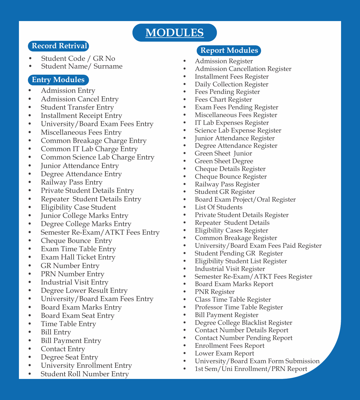### **MODULES**

#### **Record Retrival**

- Student Code / GR No
- Student Name/ Surname

#### **Entry Modules**

- Admission Entry
- Admission Cancel Entry
- Student Transfer Entry
- Installment Receipt Entry
- University/Board Exam Fees Entry
- Miscellaneous Fees Entry
- Common Breakage Charge Entry
- Common IT Lab Charge Entry
- Common Science Lab Charge Entry
- Junior Attendance Entry
- Degree Attendance Entry
- Railway Pass Entry
- Private Student Details Entry
- Repeater Student Details Entry
- Eligibility Case Student
- Junior College Marks Entry
- Degree College Marks Entry
- Semester Re-Exam/ATKT Fees Entry
- Cheque Bounce Entry
- Exam Time Table Entry
- Exam Hall Ticket Entry
- GR Number Entry
- PRN Number Entry
- Industrial Visit Entry
- Degree Lower Result Entry
- University/Board Exam Fees Entry
- Board Exam Marks Entry
- Board Exam Seat Entry
- Time Table Entry
- Bill Entry
- Bill Payment Entry
- Contact Entry
- Degree Seat Entry
- University Enrollment Entry
- Student Roll Number Entry

#### **Report Modules**

- Admission Register
- Admission Cancellation Register
- Installment Fees Register
- Daily Collection Register
- Fees Pending Register
- Fees Chart Register
- Exam Fees Pending Register
- Miscellaneous Fees Register
- IT Lab Expenses Register
- Science Lab Expense Register
- Junior Attendance Register
- Degree Attendance Register
- Green Sheet Junior
- Green Sheet Degree
- Cheque Details Register
- Cheque Bounce Register
- Railway Pass Register
- Student GR Register
- Board Exam Project/Oral Register
- List Of Students
- Private Student Details Register
- Repeater Student Details
- Eligibility Cases Register
- Common Breakage Register
- University/Board Exam Fees Paid Register
- Student Pending GR Register
- Eligibility Student List Register
- Industrial Visit Register
- Semester Re-Exam/ATKT Fees Register
- Board Exam Marks Report
- PNR Register
- Class Time Table Register
- Professor Time Table Register
- Bill Payment Register
- Degree College Blacklist Register
- Contact Number Details Report
- Contact Number Pending Report
- Enrollment Fees Report
- Lower Exam Report
- University/Board Exam Form Submission
- 1st Sem/Uni Enrollment/PRN Report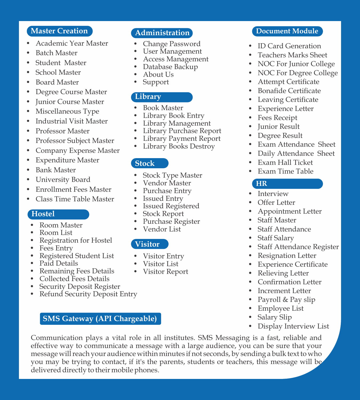#### **Master Creation**

- Academic Year Master
- Batch Master
- Student Master
- School Master
- Board Master
- Degree Course Master
- Junior Course Master
- Miscellaneous Type
- Industrial Visit Master
- Professor Master
- Professor Subject Master
- Company Expense Master
- Expenditure Master
- Bank Master
- University Board
- Enrollment Fees Master
- Class Time Table Master

#### **Hostel**

- Room Master
- Room List
- Registration for Hostel
- Fees Entry
- Registered Student List
- Paid Details
- Remaining Fees Details
- Collected Fees Details
- **Security Deposit Register**
- Refund Security Deposit Entry

#### **SMS Gateway (API Chargeable)**

#### **Administration**

- Change Password
- User Management
- Access Management
- Database Backup
- About Us
- Support

#### **Library**

- Book Master
- Library Book Entry
- Library Management
- Library Purchase Report
- Library Payment Report
- Library Books Destroy

#### **Stock**

- Stock Type Master
- Vendor Master
- Purchase Entry
- Issued Entry
- Issued Registered
- Stock Report
- Purchase Register
- Vendor List

#### **Visitor**

- Visitor Entry
- Visitor List
- Visitor Report

#### **Document Module**

- ID Card Generation
- Teachers Marks Sheet
- NOC For Junior College
- NOC For Degree College
- **Attempt Certificate**
- **Bonafide Certificate**
- **Leaving Certificate**
- **Experience Letter**
- Fees Receipt
- Junior Result
- Degree Result
- Exam Attendance Sheet
- Daily Attendance Sheet
- Exam Hall Ticket
- Exam Time Table

#### **HR**

- **Interview**
- Offer Letter
- Appointment Letter
- **Staff Master**
- **Staff Attendance**
- Staff Salary
- Staff Attendance Register
- Resignation Letter
- **Experience Certificate**
- Relieving Letter
- **Confirmation Letter**
- Increment Letter
- Payroll & Pay slip
- Employee List
- Salary Slip
- Display Interview List

Communication plays a vital role in all institutes. SMS Messaging is a fast, reliable and effective way to communicate a message with a large audience, you can be sure that your message will reach your audience within minutes if not seconds, by sending a bulk text to who you may be trying to contact, if it's the parents, students or teachers, this message will be delivered directly to their mobile phones.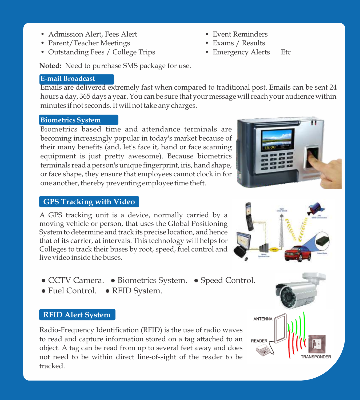- Admission Alert, Fees Alert
- Parent/Teacher Meetings
- Outstanding Fees / College Trips

• Event Reminders

- Exams / Results
- Emergency Alerts Etc

**Noted:** Need to purchase SMS package for use.

#### **E-mail Broadcast**

Emails are delivered extremely fast when compared to traditional post. Emails can be sent 24 hours a day, 365 days a year. You can be sure that your message will reach your audience within minutes if not seconds. It will not take any charges.

#### **Biometrics System**

Biometrics based time and attendance terminals are becoming increasingly popular in today's market because of their many benefits (and, let's face it, hand or face scanning equipment is just pretty awesome). Because biometrics terminals read a person's unique fingerprint, iris, hand shape, or face shape, they ensure that employees cannot clock in for one another, thereby preventing employee time theft.

#### **GPS Tracking with Video**

A GPS tracking unit is a device, normally carried by a moving vehicle or person, that uses the Global Positioning System to determine and track its precise location, and hence that of its carrier, at intervals. This technology will helps for Colleges to track their buses by root, speed, fuel control and live video inside the buses.

- CCTV Camera. Biometrics System. Speed Control.
- Fuel Control. RFID System.

#### **RFID Alert System**

Radio-Frequency Identification (RFID) is the use of radio waves to read and capture information stored on a tag attached to an object. A tag can be read from up to several feet away and does not need to be within direct line-of-sight of the reader to be tracked.





ANTENNA

**READER**